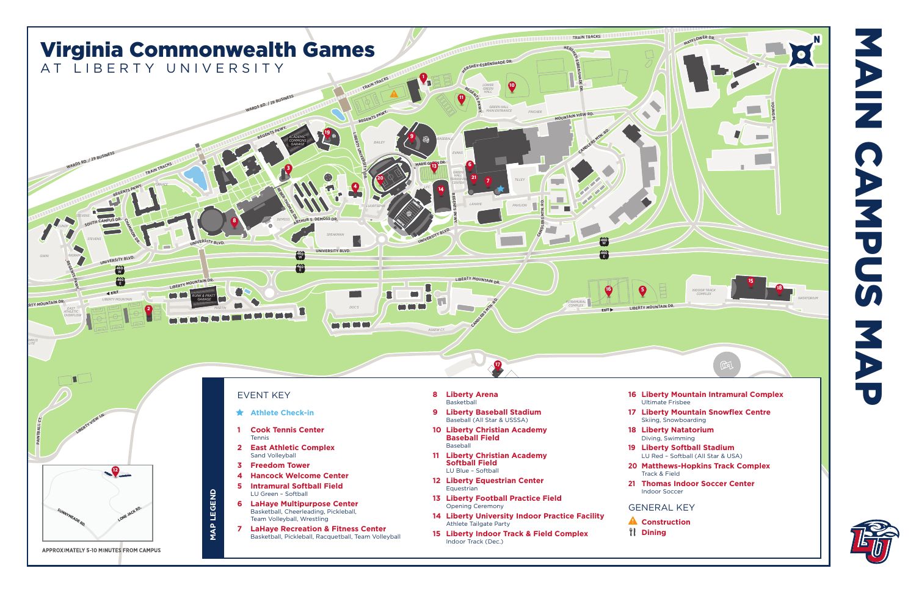

- 
- 
- 
- 
- 
- 
- 
- 
- 
- 
- 
- 
- 
- 
- 
- 
- 
- 
- 
- 
- 
- 

- 
- 

NAPUS MAPUS E Z **NAPUS**